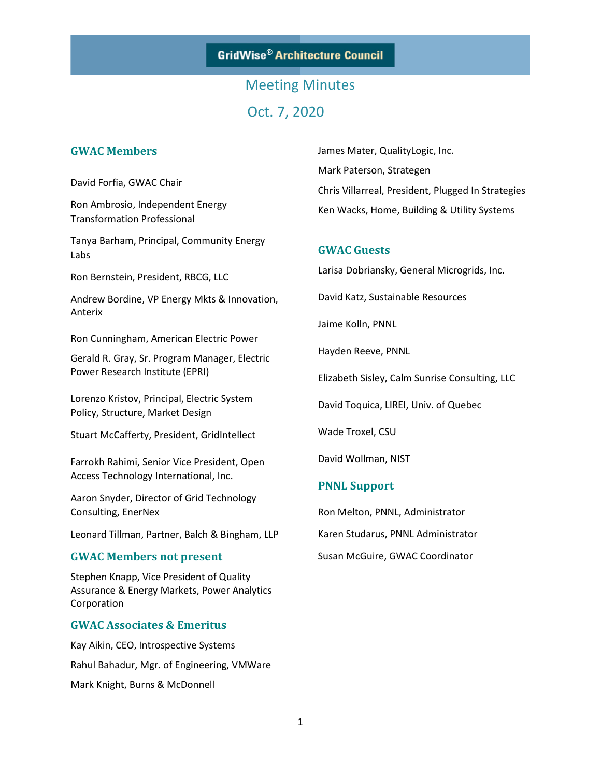**GridWise® Architecture Council** 

## Meeting Minutes Oct. 7, 2020

### **GWAC Members**

David Forfia, GWAC Chair

Ron Ambrosio, Independent Energy Transformation Professional

Tanya Barham, Principal, Community Energy Labs

Ron Bernstein, President, RBCG, LLC

Andrew Bordine, VP Energy Mkts & Innovation, Anterix

Ron Cunningham, American Electric Power

Gerald R. Gray, Sr. Program Manager, Electric Power Research Institute (EPRI)

Lorenzo Kristov, Principal, Electric System Policy, Structure, Market Design

Stuart McCafferty, President, GridIntellect

Farrokh Rahimi, Senior Vice President, Open Access Technology International, Inc.

Aaron Snyder, Director of Grid Technology Consulting, EnerNex

Leonard Tillman, Partner, Balch & Bingham, LLP

#### **GWAC Members not present**

Stephen Knapp, Vice President of Quality Assurance & Energy Markets, Power Analytics Corporation

### **GWAC Associates & Emeritus**

Kay Aikin, CEO, Introspective Systems Rahul Bahadur, Mgr. of Engineering, VMWare Mark Knight, Burns & McDonnell

James Mater, QualityLogic, Inc. Mark Paterson, Strategen Chris Villarreal, President, Plugged In Strategies Ken Wacks, Home, Building & Utility Systems

### **GWAC Guests**

Larisa Dobriansky, General Microgrids, Inc.

David Katz, Sustainable Resources

Jaime Kolln, PNNL

Hayden Reeve, PNNL

Elizabeth Sisley, Calm Sunrise Consulting, LLC

David Toquica, LIREI, Univ. of Quebec

Wade Troxel, CSU

David Wollman, NIST

#### **PNNL Support**

Ron Melton, PNNL, Administrator Karen Studarus, PNNL Administrator Susan McGuire, GWAC Coordinator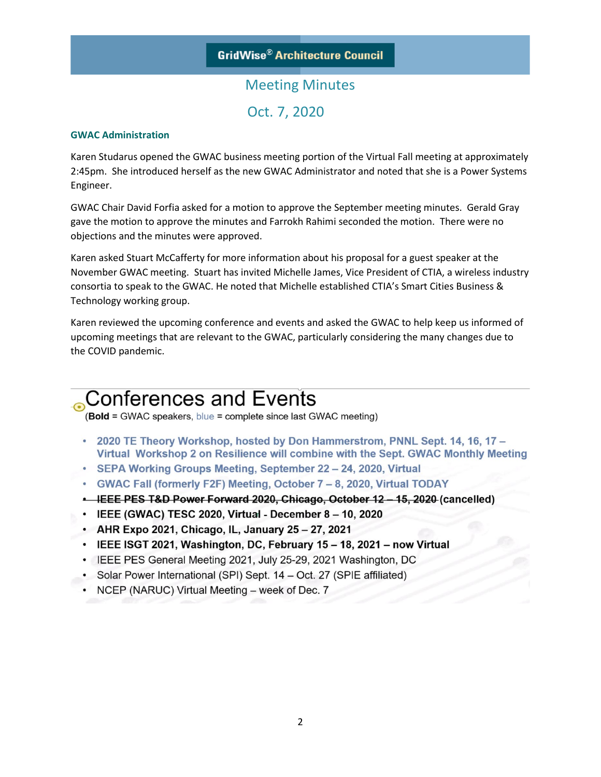### Meeting Minutes Oct. 7, 2020

#### **GWAC Administration**

Karen Studarus opened the GWAC business meeting portion of the Virtual Fall meeting at approximately 2:45pm. She introduced herself as the new GWAC Administrator and noted that she is a Power Systems Engineer.

GWAC Chair David Forfia asked for a motion to approve the September meeting minutes. Gerald Gray gave the motion to approve the minutes and Farrokh Rahimi seconded the motion. There were no objections and the minutes were approved.

Karen asked Stuart McCafferty for more information about his proposal for a guest speaker at the November GWAC meeting. Stuart has invited Michelle James, Vice President of CTIA, a wireless industry consortia to speak to the GWAC. He noted that Michelle established CTIA's Smart Cities Business & Technology working group.

Karen reviewed the upcoming conference and events and asked the GWAC to help keep us informed of upcoming meetings that are relevant to the GWAC, particularly considering the many changes due to the COVID pandemic.

## **Conferences and Events**

(Bold = GWAC speakers, blue = complete since last GWAC meeting)

- 2020 TE Theory Workshop, hosted by Don Hammerstrom, PNNL Sept. 14, 16, 17 -Virtual Workshop 2 on Resilience will combine with the Sept. GWAC Monthly Meeting
- SEPA Working Groups Meeting, September 22 24, 2020, Virtual
- GWAC Fall (formerly F2F) Meeting, October 7 8, 2020, Virtual TODAY
- ELLE PES T&D Power Forward 2020, Chicago, October 12 15, 2020 (cancelled)
- IEEE (GWAC) TESC 2020, Virtual December 8 10, 2020
- AHR Expo 2021, Chicago, IL, January 25 27, 2021
- IEEE ISGT 2021, Washington, DC, February 15 18, 2021 now Virtual
- IEEE PES General Meeting 2021, July 25-29, 2021 Washington, DC
- Solar Power International (SPI) Sept. 14 Oct. 27 (SPIE affiliated)
- NCEP (NARUC) Virtual Meeting week of Dec. 7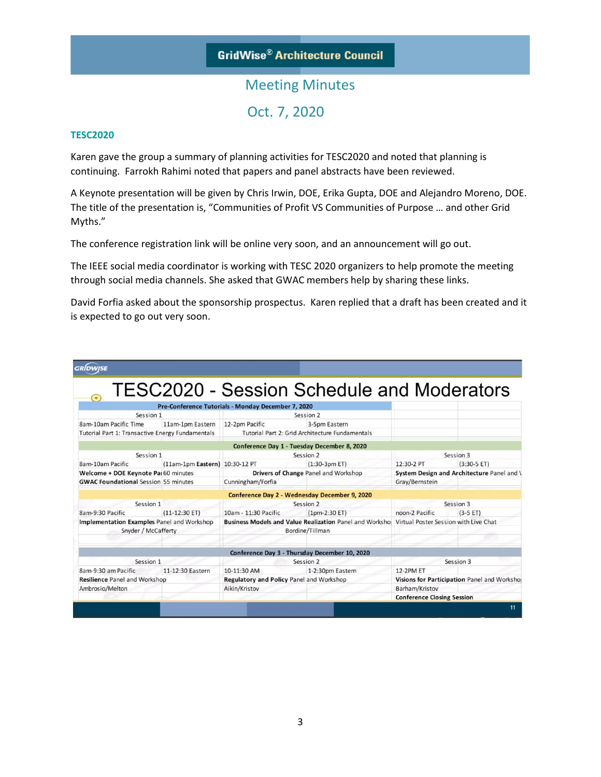### **GridWise® Architecture Council**

### Meeting Minutes Oct. 7, 2020

#### **TESC2020**

Karen gave the group a summary of planning activities for TESC2020 and noted that planning is continuing. Farrokh Rahimi noted that papers and panel abstracts have been reviewed.

A Keynote presentation will be given by Chris Irwin, DOE, Erika Gupta, DOE and Alejandro Moreno, DOE. The title of the presentation is, "Communities of Profit VS Communities of Purpose … and other Grid Myths."

The conference registration link will be online very soon, and an announcement will go out.

The IEEE social media coordinator is working with TESC 2020 organizers to help promote the meeting through social media channels. She asked that GWAC members help by sharing these links.

David Forfia asked about the sponsorship prospectus. Karen replied that a draft has been created and it is expected to go out very soon.

| <b>GRÍDWISE</b>                                  |                                |                                                                                                |                                                   |                                             |               |
|--------------------------------------------------|--------------------------------|------------------------------------------------------------------------------------------------|---------------------------------------------------|---------------------------------------------|---------------|
| $\bullet$                                        |                                |                                                                                                | <b>TESC2020 - Session Schedule and Moderators</b> |                                             |               |
|                                                  |                                | Pre-Conference Tutorials - Monday December 7, 2020                                             |                                                   |                                             |               |
| Session 1                                        |                                | Session 2                                                                                      |                                                   |                                             |               |
| 8am-10am Pacific Time                            | 11am-1pm Eastern               | 12-2pm Pacific                                                                                 | 3-5pm Eastern                                     |                                             |               |
| Tutorial Part 1: Transactive Energy Fundamentals |                                | Tutorial Part 2: Grid Architecture Fundamentals                                                |                                                   |                                             |               |
|                                                  |                                | Conference Day 1 - Tuesday December 8, 2020                                                    |                                                   |                                             |               |
| Session 1                                        |                                | Session 2                                                                                      |                                                   | Session 3                                   |               |
| 8am-10am Pacific                                 | (11am-1pm Eastern) 10:30-12 PT |                                                                                                | $(1:30-3pm ET)$                                   | 12:30-2 PT                                  | $(3:30-5 ET)$ |
| Welcome + DOE Keynote Pai 60 minutes             |                                | Drivers of Change Panel and Workshop                                                           |                                                   | System Design and Architecture Panel and \  |               |
| <b>GWAC Foundational Session 55 minutes</b>      |                                | Cunningham/Forfia                                                                              |                                                   | Gray/Bernstein                              |               |
|                                                  |                                | Conference Day 2 - Wednesday December 9, 2020                                                  |                                                   |                                             |               |
| Session 1                                        |                                | Session 2                                                                                      |                                                   | Session 3                                   |               |
| 8am-9:30 Pacific                                 | $(11-12:30 ET)$                | 10am - 11:30 Pacific                                                                           | $(1pm-2:30 ET)$                                   | noon-2 Pacific                              | $(3-5 ET)$    |
| Implementation Examples Panel and Workshop       |                                | Business Models and Value Realization Panel and Workshol Virtual Poster Session with Live Chat |                                                   |                                             |               |
| Snyder / McCafferty                              |                                | Bordine/Tillman                                                                                |                                                   |                                             |               |
|                                                  |                                |                                                                                                |                                                   |                                             |               |
|                                                  |                                | Conference Day 3 - Thursday December 10, 2020                                                  |                                                   |                                             |               |
| Session 1                                        |                                | Session 2                                                                                      |                                                   | Session 3                                   |               |
| 8am-9:30 am Pacific                              | 11-12:30 Eastern               | 10-11:30 AM                                                                                    | 1-2:30pm Eastern                                  | <b>12-2PM ET</b>                            |               |
| <b>Resilience Panel and Workshop</b>             |                                | Regulatory and Policy Panel and Workshop                                                       |                                                   | Visions for Participation Panel and Worksho |               |
| Ambrosio/Melton                                  |                                | Aikin/Kristov                                                                                  |                                                   | Barham/Kristov                              |               |
|                                                  |                                |                                                                                                |                                                   | <b>Conference Closing Session</b>           |               |
|                                                  |                                |                                                                                                |                                                   |                                             | 11            |
|                                                  |                                |                                                                                                |                                                   |                                             |               |